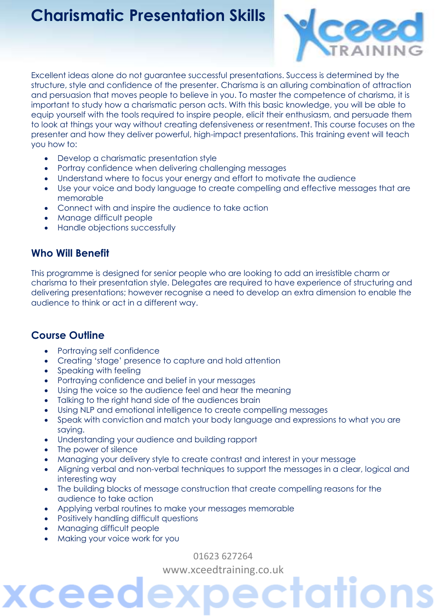### **Charismatic Presentation Skills**



Excellent ideas alone do not guarantee successful presentations. Success is determined by the structure, style and confidence of the presenter. Charisma is an alluring combination of attraction and persuasion that moves people to believe in you. To master the competence of charisma, it is important to study how a charismatic person acts. With this basic knowledge, you will be able to equip yourself with the tools required to inspire people, elicit their enthusiasm, and persuade them to look at things your way without creating defensiveness or resentment. This course focuses on the presenter and how they deliver powerful, high-impact presentations. This training event will teach you how to:

- Develop a charismatic presentation style
- Portray confidence when delivering challenging messages
- Understand where to focus your energy and effort to motivate the audience
- Use your voice and body language to create compelling and effective messages that are memorable
- Connect with and inspire the audience to take action
- Manage difficult people
- Handle objections successfully

### **Who Will Benefit**

This programme is designed for senior people who are looking to add an irresistible charm or charisma to their presentation style. Delegates are required to have experience of structuring and delivering presentations; however recognise a need to develop an extra dimension to enable the audience to think or act in a different way.

#### **Course Outline**

- Portraying self confidence
- Creating 'stage' presence to capture and hold attention
- Speaking with feeling
- Portraying confidence and belief in your messages
- Using the voice so the audience feel and hear the meaning
- Talking to the right hand side of the audiences brain
- Using NLP and emotional intelligence to create compelling messages
- Speak with conviction and match your body language and expressions to what you are saying.
- Understanding your audience and building rapport
- The power of silence
- Managing your delivery style to create contrast and interest in your message
- Aligning verbal and non-verbal techniques to support the messages in a clear, logical and interesting way
- The building blocks of message construction that create compelling reasons for the audience to take action
- Applying verbal routines to make your messages memorable
- Positively handling difficult questions
- Managing difficult people

ceed

Making your voice work for you

01623 627264

[www.xceedtraining.co.uk](http://www.xceedtraining.co.uk/)